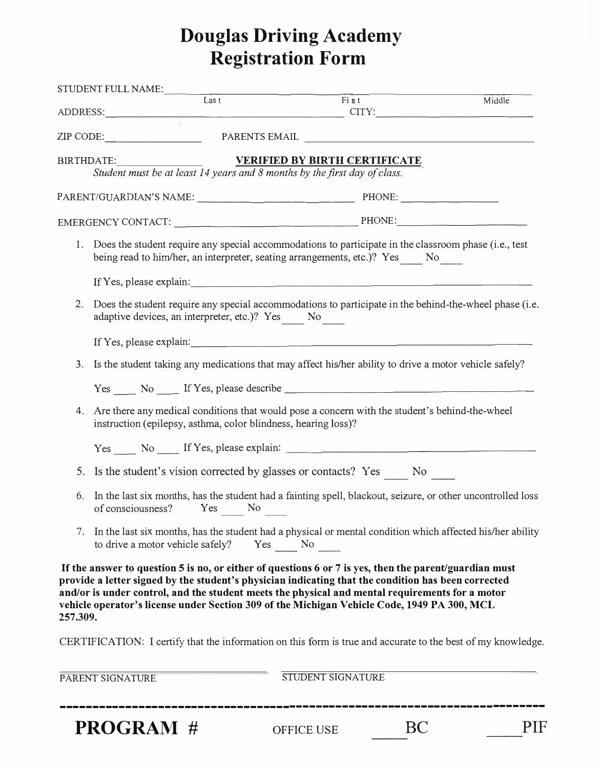# **Douglas Driving Academy Registration Form**

| STUDENT FULL NAME:<br>Last Fist<br>ADDRESS: CONSTRUCTED CITY: CITY: |                                                                                                                                                                  |                                                                           |                                                                                                                                                                                                                                                                                                                                                                                                                 | Middle |  |  |  |  |
|---------------------------------------------------------------------|------------------------------------------------------------------------------------------------------------------------------------------------------------------|---------------------------------------------------------------------------|-----------------------------------------------------------------------------------------------------------------------------------------------------------------------------------------------------------------------------------------------------------------------------------------------------------------------------------------------------------------------------------------------------------------|--------|--|--|--|--|
|                                                                     |                                                                                                                                                                  |                                                                           |                                                                                                                                                                                                                                                                                                                                                                                                                 |        |  |  |  |  |
|                                                                     |                                                                                                                                                                  |                                                                           | ZIP CODE: PARENTS EMAIL                                                                                                                                                                                                                                                                                                                                                                                         |        |  |  |  |  |
|                                                                     | BIRTHDATE:                                                                                                                                                       | Student must be at least 14 years and 8 months by the first day of class. | <b>VERIFIED BY BIRTH CERTIFICATE</b>                                                                                                                                                                                                                                                                                                                                                                            |        |  |  |  |  |
|                                                                     |                                                                                                                                                                  |                                                                           |                                                                                                                                                                                                                                                                                                                                                                                                                 |        |  |  |  |  |
|                                                                     |                                                                                                                                                                  |                                                                           |                                                                                                                                                                                                                                                                                                                                                                                                                 |        |  |  |  |  |
|                                                                     |                                                                                                                                                                  |                                                                           | 1. Does the student require any special accommodations to participate in the classroom phase (i.e., test<br>being read to him/her, an interpreter, seating arrangements, etc.)? Yes No                                                                                                                                                                                                                          |        |  |  |  |  |
|                                                                     |                                                                                                                                                                  |                                                                           | If Yes, please explain: $\qquad \qquad \qquad$                                                                                                                                                                                                                                                                                                                                                                  |        |  |  |  |  |
| 2.                                                                  |                                                                                                                                                                  | adaptive devices, an interpreter, etc.)? Yes No                           | Does the student require any special accommodations to participate in the behind-the-wheel phase (i.e.                                                                                                                                                                                                                                                                                                          |        |  |  |  |  |
|                                                                     |                                                                                                                                                                  |                                                                           |                                                                                                                                                                                                                                                                                                                                                                                                                 |        |  |  |  |  |
| 3.                                                                  |                                                                                                                                                                  |                                                                           | Is the student taking any medications that may affect his/her ability to drive a motor vehicle safely?                                                                                                                                                                                                                                                                                                          |        |  |  |  |  |
|                                                                     |                                                                                                                                                                  |                                                                           |                                                                                                                                                                                                                                                                                                                                                                                                                 |        |  |  |  |  |
| 4.                                                                  | Are there any medical conditions that would pose a concern with the student's behind-the-wheel<br>instruction (epilepsy, asthma, color blindness, hearing loss)? |                                                                           |                                                                                                                                                                                                                                                                                                                                                                                                                 |        |  |  |  |  |
|                                                                     |                                                                                                                                                                  |                                                                           | Yes _______ No ______ If Yes, please explain: ___________________________________                                                                                                                                                                                                                                                                                                                               |        |  |  |  |  |
| 5.                                                                  |                                                                                                                                                                  |                                                                           | Is the student's vision corrected by glasses or contacts? Yes ______ No ______                                                                                                                                                                                                                                                                                                                                  |        |  |  |  |  |
| 6.                                                                  |                                                                                                                                                                  | of consciousness? Yes No ______                                           | In the last six months, has the student had a fainting spell, blackout, seizure, or other uncontrolled loss                                                                                                                                                                                                                                                                                                     |        |  |  |  |  |
| 7.                                                                  |                                                                                                                                                                  | to drive a motor vehicle safely?                                          | In the last six months, has the student had a physical or mental condition which affected his/her ability<br>$Yes$ No                                                                                                                                                                                                                                                                                           |        |  |  |  |  |
| 257.309.                                                            |                                                                                                                                                                  |                                                                           | If the answer to question 5 is no, or either of questions 6 or 7 is yes, then the parent/guardian must<br>provide a letter signed by the student's physician indicating that the condition has been corrected<br>and/or is under control, and the student meets the physical and mental requirements for a motor<br>vehicle operator's license under Section 309 of the Michigan Vehicle Code, 1949 PA 300, MCL |        |  |  |  |  |
|                                                                     |                                                                                                                                                                  |                                                                           | CERTIFICATION: I certify that the information on this form is true and accurate to the best of my knowledge.                                                                                                                                                                                                                                                                                                    |        |  |  |  |  |
|                                                                     | PARENT SIGNATURE                                                                                                                                                 |                                                                           | STUDENT SIGNATURE                                                                                                                                                                                                                                                                                                                                                                                               |        |  |  |  |  |

-------------------------------------------------------------------------- **PROGRAM#** OFFICE USE BC ---PIF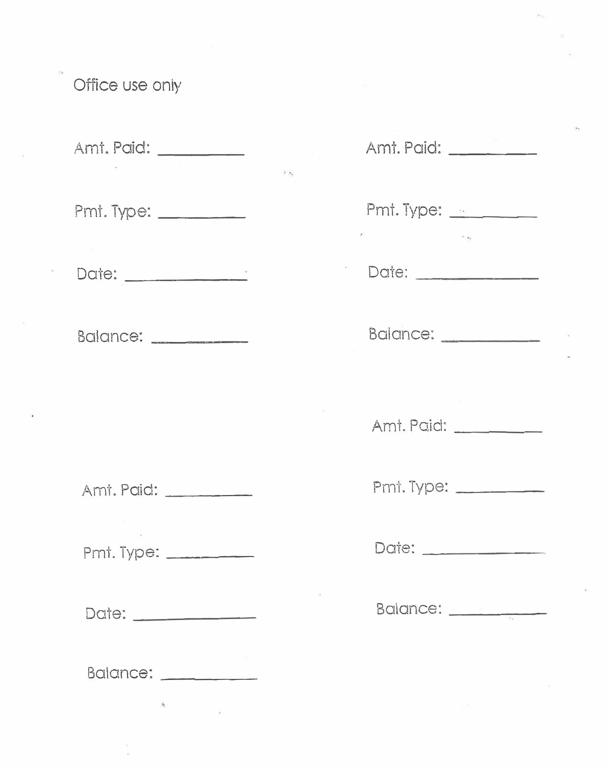# Office use only

Amt. Paid:

 $\mathcal{L}_{\mathcal{M}}$ 

Pmt. Type: \_\_\_\_\_\_\_

Date:

Balance:

Ami. Paid:

Pmt. Type: \_\_\_\_\_\_\_\_

Date: \_\_\_\_\_\_\_\_\_\_\_\_

Balance: \_\_\_\_\_\_\_\_\_\_

| Amt. Paid: _________       |
|----------------------------|
| Pmt. Type: <u>________</u> |
| Date:                      |
| Balance:                   |
| Amt. Paid:                 |
| Pmi. Type: ______          |
| Date: 2000                 |
| Balance: __________        |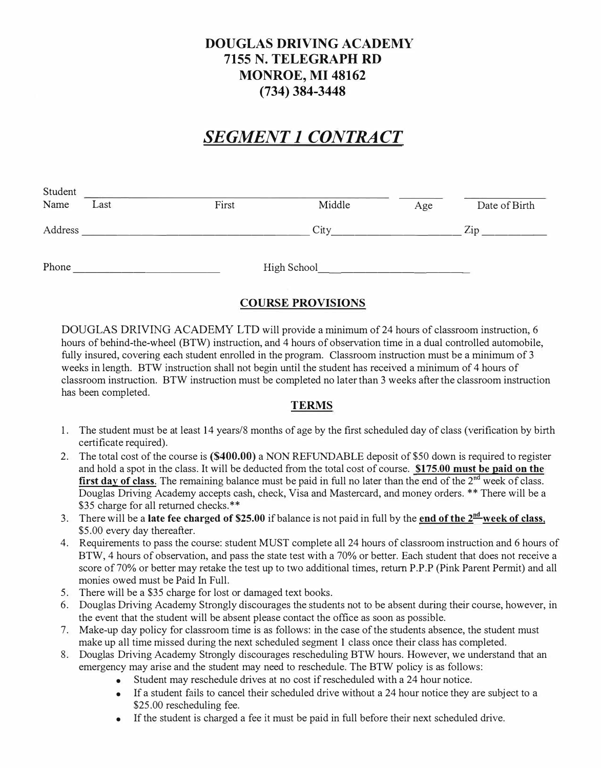### **DOUGLAS DRIVING ACADEMY 7155 N. TELEGRAPH RD MONROE, MI 48162 (734) 384-3448**

## *SEGMENT 1 CONTRACT*

| Student<br>Name | Last | First | Middle      | Age | Date of Birth |
|-----------------|------|-------|-------------|-----|---------------|
| Address         |      |       | City        |     | Zip           |
| Phone           |      |       | High School |     |               |

#### **COURSE PROVISIONS**

DOUGLAS DRIVING ACADEMY LTD will provide a minimum of 24 hours of classroom instruction, 6 hours of behind-the-wheel (BTW) instruction, and 4 hours of observation time in a dual controlled automobile, fully insured, covering each student enrolled in the program. Classroom instruction must be a minimum of 3 weeks in length. BTW instruction shall not begin until the student has received a minimum of 4 hours of classroom instruction. BTW instruction must be completed no later than 3 weeks after the classroom instruction has been completed.

#### **TERMS**

- 1. The student must be at least 14 years/8 months of age by the first scheduled day of class ( verification by birth certificate required).
- 2. The total cost of the course is **(\$400.00)** a NON REFUNDABLE deposit of \$50 down is required to register and hold a spot in the class. It will be deducted from the total cost of course. **\$175.00 must be paid on the**  first day of class. The remaining balance must be paid in full no later than the end of the 2<sup>nd</sup> week of class. Douglas Driving Academy accepts cash, check, Visa and Mastercard, and money orders. \*\* There will be a \$35 charge for all returned checks.\*\*
- 3. There will be a late fee charged of \$25.00 if balance is not paid in full by the end of the 2<sup>nd</sup> week of class, \$5.00 every day thereafter.
- 4. Requirements to pass the course: student MUST complete all 24 hours of classroom instruction and 6 hours of BTW, 4 hours of observation, and pass the state test with a 70% or better. Each student that does not receive a score of 70% or better may retake the test up to two additional times, return P.P.P (Pink Parent Permit) and all monies owed must be Paid In Full.
- 5. There will be a \$35 charge for lost or damaged text books.
- 6. Douglas Driving Academy Strongly discourages the students not to be absent during their course, however, in the event that the student will be absent please contact the office as soon as possible.
- 7. Make-up day policy for classroom time is as follows: in the case ofthe students absence, the student must make up all time missed during the next scheduled segment 1 class once their class has completed.
- 8. Douglas Driving Academy Strongly discourages rescheduling BTW hours. However, we understand that an emergency may arise and the student may need to reschedule. The BTW policy is as follows:
	- Student may reschedule drives at no cost if rescheduled with a 24 hour notice.
	- If a student fails to cancel their scheduled drive without a 24 hour notice they are subject to a \$25.00 rescheduling fee.
	- If the student is charged a fee it must be paid in full before their next scheduled drive.